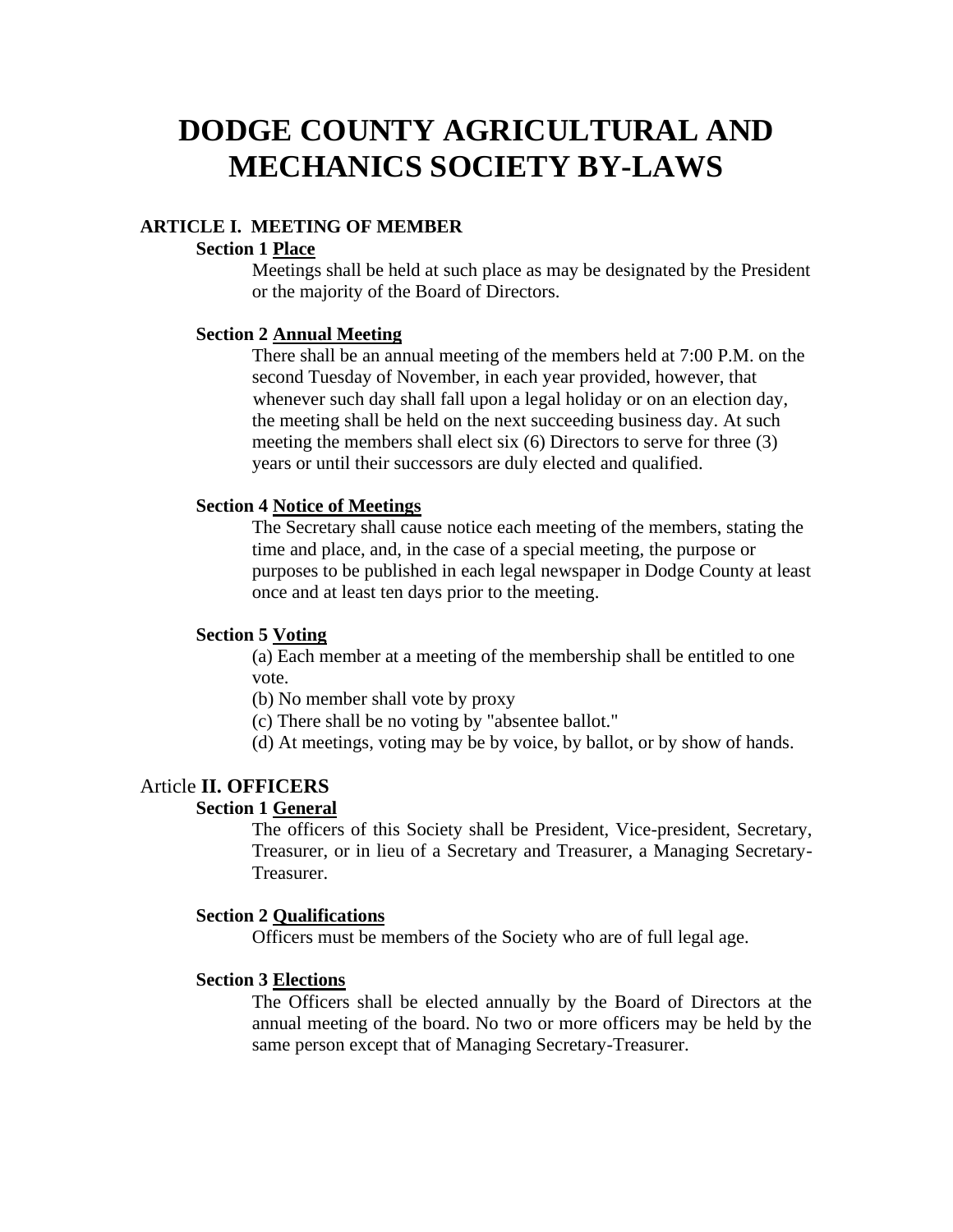# **DODGE COUNTY AGRICULTURAL AND MECHANICS SOCIETY BY-LAWS**

#### **ARTICLE I. MEETING OF MEMBER**

#### **Section 1 Place**

Meetings shall be held at such place as may be designated by the President or the majority of the Board of Directors.

#### **Section 2 Annual Meeting**

There shall be an annual meeting of the members held at 7:00 P.M. on the second Tuesday of November, in each year provided, however, that whenever such day shall fall upon a legal holiday or on an election day, the meeting shall be held on the next succeeding business day. At such meeting the members shall elect six (6) Directors to serve for three (3) years or until their successors are duly elected and qualified.

#### **Section 4 Notice of Meetings**

The Secretary shall cause notice each meeting of the members, stating the time and place, and, in the case of a special meeting, the purpose or purposes to be published in each legal newspaper in Dodge County at least once and at least ten days prior to the meeting.

#### **Section 5 Voting**

(a) Each member at a meeting of the membership shall be entitled to one vote.

- (b) No member shall vote by proxy
- (c) There shall be no voting by "absentee ballot."
- (d) At meetings, voting may be by voice, by ballot, or by show of hands.

# Article **II. OFFICERS**

## **Section 1 General**

The officers of this Society shall be President, Vice-president, Secretary, Treasurer, or in lieu of a Secretary and Treasurer, a Managing Secretary-Treasurer.

#### **Section 2 Qualifications**

Officers must be members of the Society who are of full legal age.

#### **Section 3 Elections**

The Officers shall be elected annually by the Board of Directors at the annual meeting of the board. No two or more officers may be held by the same person except that of Managing Secretary-Treasurer.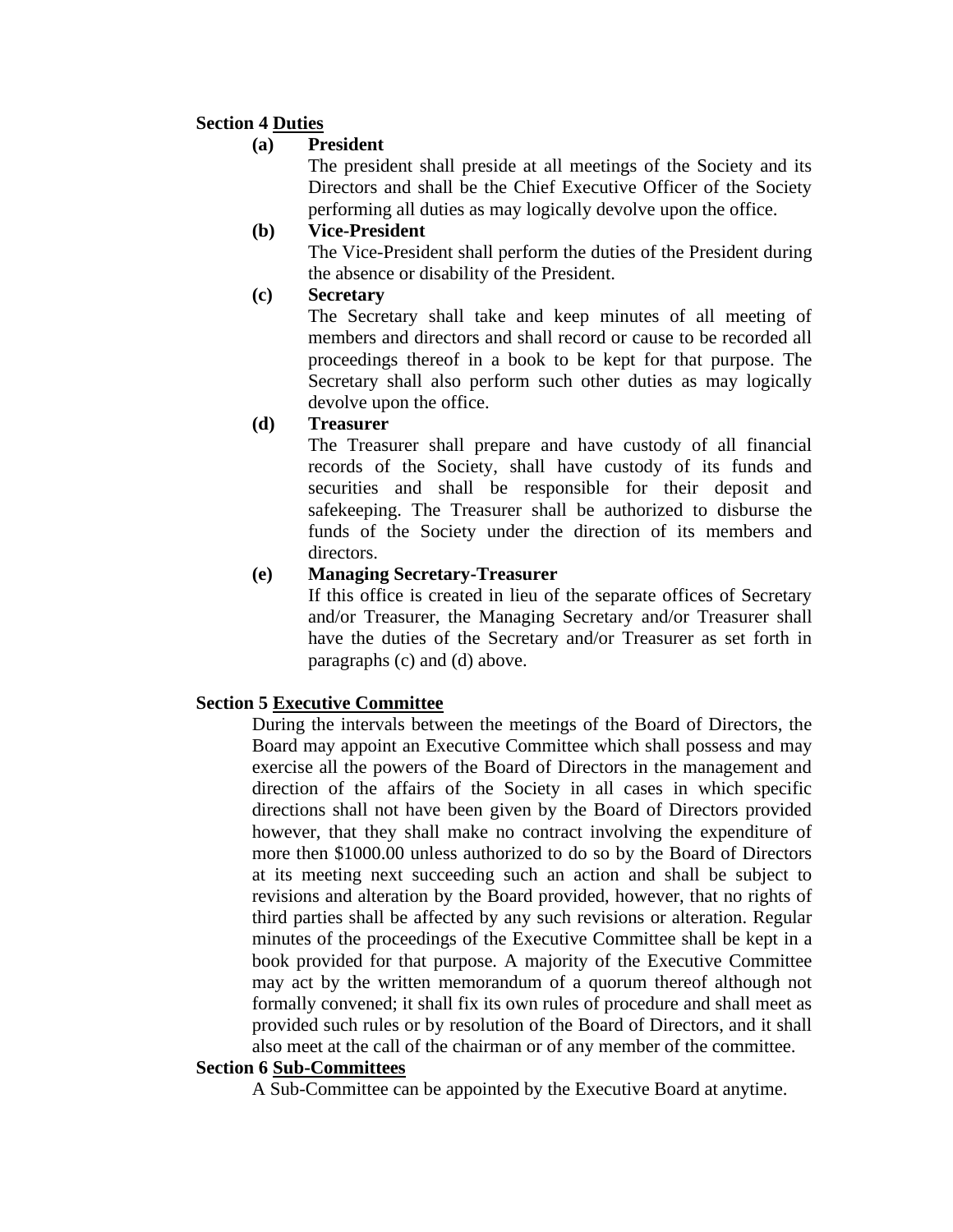# **Section 4 Duties**

# **(a) President**

The president shall preside at all meetings of the Society and its Directors and shall be the Chief Executive Officer of the Society performing all duties as may logically devolve upon the office.

# **(b) Vice-President**

The Vice-President shall perform the duties of the President during the absence or disability of the President.

# **(c) Secretary**

The Secretary shall take and keep minutes of all meeting of members and directors and shall record or cause to be recorded all proceedings thereof in a book to be kept for that purpose. The Secretary shall also perform such other duties as may logically devolve upon the office.

**(d) Treasurer**

The Treasurer shall prepare and have custody of all financial records of the Society, shall have custody of its funds and securities and shall be responsible for their deposit and safekeeping. The Treasurer shall be authorized to disburse the funds of the Society under the direction of its members and directors.

# **(e) Managing Secretary-Treasurer**

If this office is created in lieu of the separate offices of Secretary and/or Treasurer, the Managing Secretary and/or Treasurer shall have the duties of the Secretary and/or Treasurer as set forth in paragraphs (c) and (d) above.

# **Section 5 Executive Committee**

During the intervals between the meetings of the Board of Directors, the Board may appoint an Executive Committee which shall possess and may exercise all the powers of the Board of Directors in the management and direction of the affairs of the Society in all cases in which specific directions shall not have been given by the Board of Directors provided however, that they shall make no contract involving the expenditure of more then \$1000.00 unless authorized to do so by the Board of Directors at its meeting next succeeding such an action and shall be subject to revisions and alteration by the Board provided, however, that no rights of third parties shall be affected by any such revisions or alteration. Regular minutes of the proceedings of the Executive Committee shall be kept in a book provided for that purpose. A majority of the Executive Committee may act by the written memorandum of a quorum thereof although not formally convened; it shall fix its own rules of procedure and shall meet as provided such rules or by resolution of the Board of Directors, and it shall also meet at the call of the chairman or of any member of the committee.

# **Section 6 Sub-Committees**

A Sub-Committee can be appointed by the Executive Board at anytime.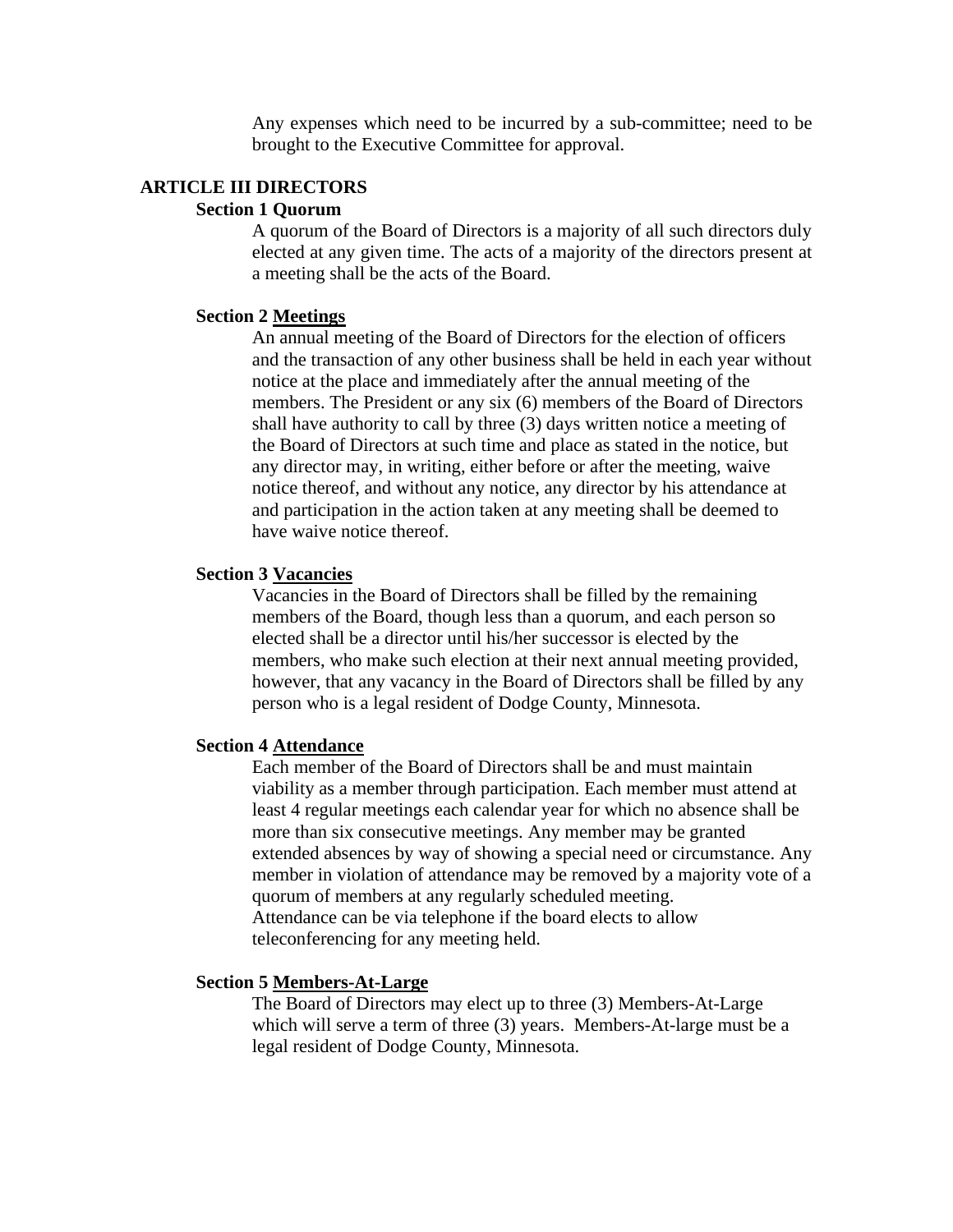Any expenses which need to be incurred by a sub-committee; need to be brought to the Executive Committee for approval.

#### **ARTICLE III DIRECTORS**

#### **Section 1 Quorum**

A quorum of the Board of Directors is a majority of all such directors duly elected at any given time. The acts of a majority of the directors present at a meeting shall be the acts of the Board.

#### **Section 2 Meetings**

An annual meeting of the Board of Directors for the election of officers and the transaction of any other business shall be held in each year without notice at the place and immediately after the annual meeting of the members. The President or any six (6) members of the Board of Directors shall have authority to call by three (3) days written notice a meeting of the Board of Directors at such time and place as stated in the notice, but any director may, in writing, either before or after the meeting, waive notice thereof, and without any notice, any director by his attendance at and participation in the action taken at any meeting shall be deemed to have waive notice thereof.

#### **Section 3 Vacancies**

Vacancies in the Board of Directors shall be filled by the remaining members of the Board, though less than a quorum, and each person so elected shall be a director until his/her successor is elected by the members, who make such election at their next annual meeting provided, however, that any vacancy in the Board of Directors shall be filled by any person who is a legal resident of Dodge County, Minnesota.

## **Section 4 Attendance**

Each member of the Board of Directors shall be and must maintain viability as a member through participation. Each member must attend at least 4 regular meetings each calendar year for which no absence shall be more than six consecutive meetings. Any member may be granted extended absences by way of showing a special need or circumstance. Any member in violation of attendance may be removed by a majority vote of a quorum of members at any regularly scheduled meeting. Attendance can be via telephone if the board elects to allow teleconferencing for any meeting held.

#### **Section 5 Members-At-Large**

The Board of Directors may elect up to three (3) Members-At-Large which will serve a term of three (3) years. Members-At-large must be a legal resident of Dodge County, Minnesota.